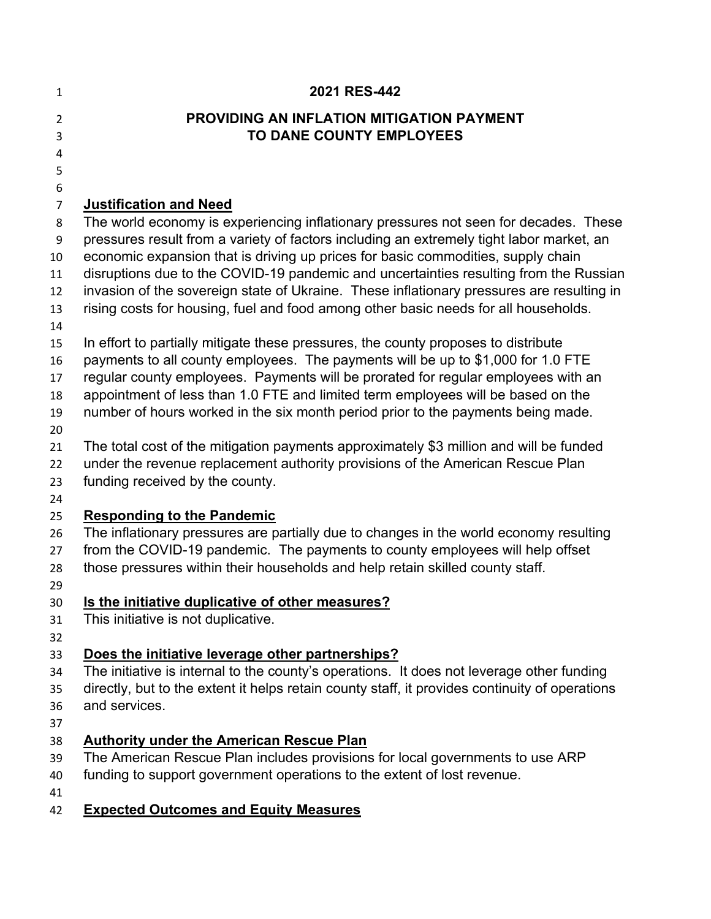| 1                   | 2021 RES-442                                                                                                                                             |
|---------------------|----------------------------------------------------------------------------------------------------------------------------------------------------------|
| $\overline{2}$<br>3 | <b>PROVIDING AN INFLATION MITIGATION PAYMENT</b><br>TO DANE COUNTY EMPLOYEES                                                                             |
| 4                   |                                                                                                                                                          |
| 5                   |                                                                                                                                                          |
| 6                   |                                                                                                                                                          |
| $\overline{7}$      | <b>Justification and Need</b>                                                                                                                            |
| 8                   | The world economy is experiencing inflationary pressures not seen for decades. These                                                                     |
| 9                   | pressures result from a variety of factors including an extremely tight labor market, an                                                                 |
| 10                  | economic expansion that is driving up prices for basic commodities, supply chain                                                                         |
| 11                  | disruptions due to the COVID-19 pandemic and uncertainties resulting from the Russian                                                                    |
| 12                  | invasion of the sovereign state of Ukraine. These inflationary pressures are resulting in                                                                |
| 13<br>14            | rising costs for housing, fuel and food among other basic needs for all households.                                                                      |
| 15                  | In effort to partially mitigate these pressures, the county proposes to distribute                                                                       |
| 16                  | payments to all county employees. The payments will be up to \$1,000 for 1.0 FTE                                                                         |
| 17                  | regular county employees. Payments will be prorated for regular employees with an                                                                        |
| 18                  | appointment of less than 1.0 FTE and limited term employees will be based on the                                                                         |
| 19                  | number of hours worked in the six month period prior to the payments being made.                                                                         |
| 20                  |                                                                                                                                                          |
| 21                  | The total cost of the mitigation payments approximately \$3 million and will be funded                                                                   |
| 22<br>23            | under the revenue replacement authority provisions of the American Rescue Plan<br>funding received by the county.                                        |
| 24                  |                                                                                                                                                          |
| 25                  | <b>Responding to the Pandemic</b>                                                                                                                        |
| 26                  | The inflationary pressures are partially due to changes in the world economy resulting                                                                   |
| 27                  | from the COVID-19 pandemic. The payments to county employees will help offset                                                                            |
| 28                  | those pressures within their households and help retain skilled county staff.                                                                            |
| 29                  |                                                                                                                                                          |
| 30                  | Is the initiative duplicative of other measures?                                                                                                         |
| 31                  | This initiative is not duplicative.                                                                                                                      |
| 32                  |                                                                                                                                                          |
| 33                  | Does the initiative leverage other partnerships?                                                                                                         |
| 34                  | The initiative is internal to the county's operations. It does not leverage other funding                                                                |
| 35                  | directly, but to the extent it helps retain county staff, it provides continuity of operations                                                           |
| 36                  | and services.                                                                                                                                            |
| 37                  |                                                                                                                                                          |
| 38                  | <b>Authority under the American Rescue Plan</b>                                                                                                          |
| 39<br>40            | The American Rescue Plan includes provisions for local governments to use ARP<br>funding to support government operations to the extent of lost revenue. |
| 41                  |                                                                                                                                                          |
| 42                  | <b>Expected Outcomes and Equity Measures</b>                                                                                                             |
|                     |                                                                                                                                                          |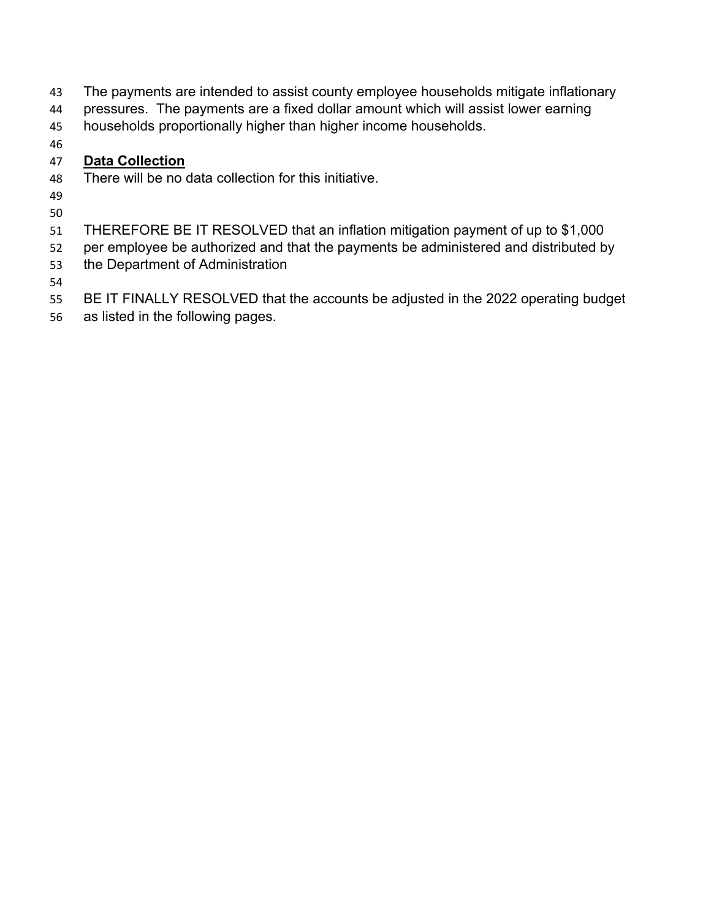- The payments are intended to assist county employee households mitigate inflationary
- pressures. The payments are a fixed dollar amount which will assist lower earning
- households proportionally higher than higher income households.
- 

## **Data Collection**

- There will be no data collection for this initiative.
- 
- 
- THEREFORE BE IT RESOLVED that an inflation mitigation payment of up to \$1,000
- per employee be authorized and that the payments be administered and distributed by the Department of Administration
- 
- BE IT FINALLY RESOLVED that the accounts be adjusted in the 2022 operating budget
- as listed in the following pages.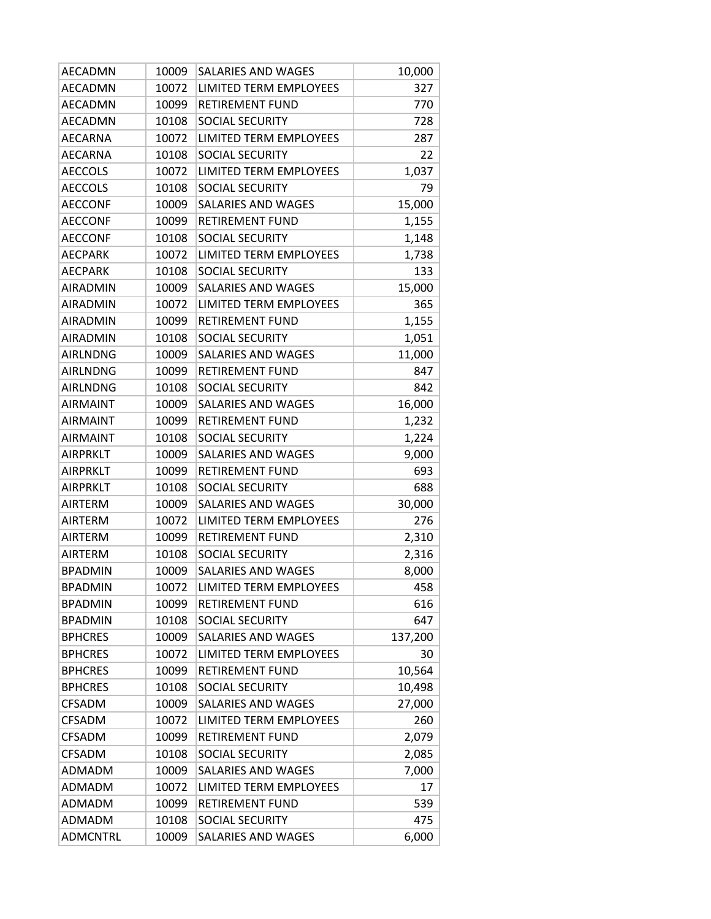| AECADMN         | 10009 | <b>SALARIES AND WAGES</b> | 10,000  |
|-----------------|-------|---------------------------|---------|
| AECADMN         | 10072 | LIMITED TERM EMPLOYEES    | 327     |
| AECADMN         | 10099 | RETIREMENT FUND           | 770     |
| AECADMN         | 10108 | <b>SOCIAL SECURITY</b>    | 728     |
| <b>AECARNA</b>  | 10072 | LIMITED TERM EMPLOYEES    | 287     |
| AECARNA         | 10108 | SOCIAL SECURITY           | 22      |
| <b>AECCOLS</b>  | 10072 | LIMITED TERM EMPLOYEES    | 1,037   |
| <b>AECCOLS</b>  | 10108 | <b>SOCIAL SECURITY</b>    | 79      |
| <b>AECCONF</b>  | 10009 | SALARIES AND WAGES        | 15,000  |
| <b>AECCONF</b>  | 10099 | <b>RETIREMENT FUND</b>    | 1,155   |
| <b>AECCONF</b>  | 10108 | SOCIAL SECURITY           | 1,148   |
| <b>AECPARK</b>  | 10072 | LIMITED TERM EMPLOYEES    | 1,738   |
| <b>AECPARK</b>  | 10108 | <b>SOCIAL SECURITY</b>    | 133     |
| <b>AIRADMIN</b> | 10009 | SALARIES AND WAGES        | 15,000  |
| <b>AIRADMIN</b> | 10072 | LIMITED TERM EMPLOYEES    | 365     |
| <b>AIRADMIN</b> | 10099 | <b>RETIREMENT FUND</b>    | 1,155   |
| <b>AIRADMIN</b> | 10108 | SOCIAL SECURITY           | 1,051   |
| <b>AIRLNDNG</b> | 10009 | <b>SALARIES AND WAGES</b> | 11,000  |
| <b>AIRLNDNG</b> | 10099 | RETIREMENT FUND           | 847     |
| <b>AIRLNDNG</b> | 10108 | <b>SOCIAL SECURITY</b>    | 842     |
| <b>AIRMAINT</b> | 10009 | <b>SALARIES AND WAGES</b> | 16,000  |
| <b>AIRMAINT</b> | 10099 | <b>RETIREMENT FUND</b>    | 1,232   |
| <b>AIRMAINT</b> | 10108 | SOCIAL SECURITY           | 1,224   |
| <b>AIRPRKLT</b> | 10009 | SALARIES AND WAGES        | 9,000   |
| <b>AIRPRKLT</b> | 10099 | RETIREMENT FUND           | 693     |
| AIRPRKLT        | 10108 | SOCIAL SECURITY           | 688     |
| AIRTERM         | 10009 | SALARIES AND WAGES        | 30,000  |
| AIRTERM         | 10072 | LIMITED TERM EMPLOYEES    | 276     |
| <b>AIRTERM</b>  | 10099 | RETIREMENT FUND           | 2,310   |
| <b>AIRTERM</b>  | 10108 | <b>SOCIAL SECURITY</b>    | 2,316   |
| <b>BPADMIN</b>  | 10009 | <b>SALARIES AND WAGES</b> | 8,000   |
| <b>BPADMIN</b>  | 10072 | LIMITED TERM EMPLOYEES    | 458     |
| <b>BPADMIN</b>  | 10099 | <b>RETIREMENT FUND</b>    | 616     |
| <b>BPADMIN</b>  | 10108 | SOCIAL SECURITY           | 647     |
| <b>BPHCRES</b>  | 10009 | SALARIES AND WAGES        | 137,200 |
| <b>BPHCRES</b>  | 10072 | LIMITED TERM EMPLOYEES    | 30      |
| <b>BPHCRES</b>  | 10099 | <b>RETIREMENT FUND</b>    | 10,564  |
| <b>BPHCRES</b>  | 10108 | SOCIAL SECURITY           | 10,498  |
| <b>CFSADM</b>   | 10009 | SALARIES AND WAGES        | 27,000  |
| <b>CFSADM</b>   | 10072 | LIMITED TERM EMPLOYEES    | 260     |
| <b>CFSADM</b>   | 10099 | RETIREMENT FUND           | 2,079   |
| <b>CFSADM</b>   | 10108 | SOCIAL SECURITY           | 2,085   |
| ADMADM          | 10009 | SALARIES AND WAGES        | 7,000   |
| ADMADM          | 10072 | LIMITED TERM EMPLOYEES    | 17      |
| ADMADM          | 10099 | RETIREMENT FUND           | 539     |
| ADMADM          | 10108 | SOCIAL SECURITY           | 475     |
| <b>ADMCNTRL</b> | 10009 | SALARIES AND WAGES        | 6,000   |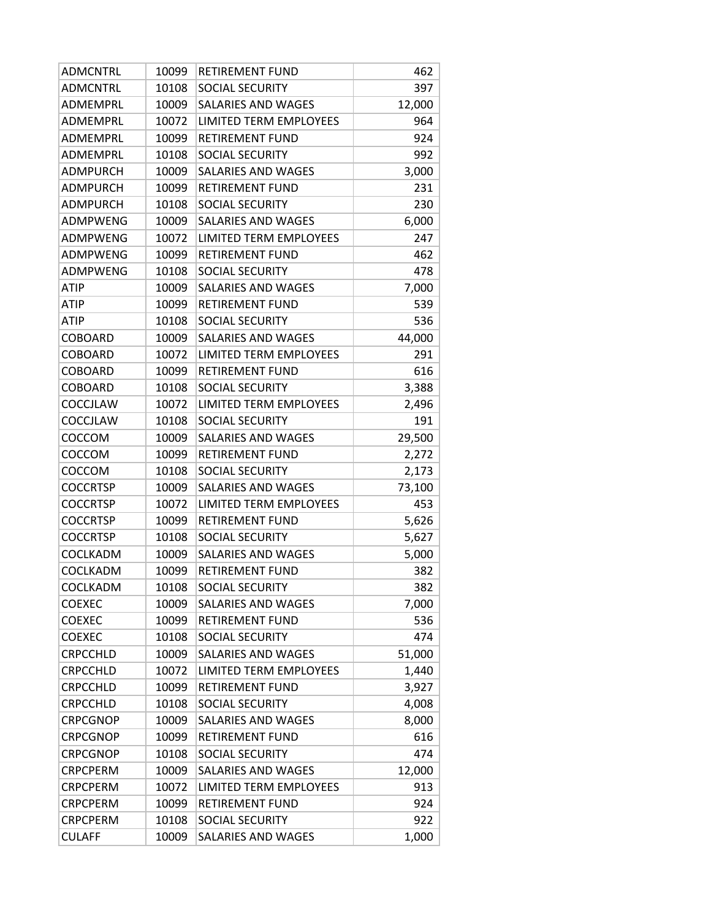| <b>ADMCNTRL</b> | 10099 | <b>RETIREMENT FUND</b>        | 462    |
|-----------------|-------|-------------------------------|--------|
| <b>ADMCNTRL</b> | 10108 | <b>SOCIAL SECURITY</b>        | 397    |
| ADMEMPRL        | 10009 | SALARIES AND WAGES            | 12,000 |
| ADMEMPRL        | 10072 | <b>LIMITED TERM EMPLOYEES</b> | 964    |
| ADMEMPRL        | 10099 | <b>RETIREMENT FUND</b>        | 924    |
| ADMEMPRL        | 10108 | SOCIAL SECURITY               | 992    |
| ADMPURCH        | 10009 | <b>SALARIES AND WAGES</b>     | 3,000  |
| <b>ADMPURCH</b> | 10099 | <b>RETIREMENT FUND</b>        | 231    |
| <b>ADMPURCH</b> | 10108 | SOCIAL SECURITY               | 230    |
| ADMPWENG        | 10009 | <b>SALARIES AND WAGES</b>     | 6,000  |
| ADMPWENG        | 10072 | LIMITED TERM EMPLOYEES        | 247    |
| <b>ADMPWENG</b> | 10099 | <b>RETIREMENT FUND</b>        | 462    |
| ADMPWENG        | 10108 | SOCIAL SECURITY               | 478    |
| <b>ATIP</b>     | 10009 | <b>SALARIES AND WAGES</b>     | 7,000  |
| <b>ATIP</b>     | 10099 | <b>RETIREMENT FUND</b>        | 539    |
| ATIP            | 10108 | <b>SOCIAL SECURITY</b>        | 536    |
| <b>COBOARD</b>  | 10009 | <b>SALARIES AND WAGES</b>     | 44,000 |
| <b>COBOARD</b>  | 10072 | LIMITED TERM EMPLOYEES        | 291    |
| <b>COBOARD</b>  | 10099 | <b>RETIREMENT FUND</b>        | 616    |
| <b>COBOARD</b>  | 10108 | SOCIAL SECURITY               | 3,388  |
| <b>COCCJLAW</b> | 10072 | LIMITED TERM EMPLOYEES        | 2,496  |
| COCCJLAW        | 10108 | SOCIAL SECURITY               | 191    |
| COCCOM          | 10009 | <b>SALARIES AND WAGES</b>     | 29,500 |
| COCCOM          | 10099 | RETIREMENT FUND               | 2,272  |
| COCCOM          | 10108 | <b>SOCIAL SECURITY</b>        | 2,173  |
| <b>COCCRTSP</b> | 10009 | SALARIES AND WAGES            | 73,100 |
| <b>COCCRTSP</b> | 10072 | LIMITED TERM EMPLOYEES        | 453    |
| <b>COCCRTSP</b> | 10099 | RETIREMENT FUND               | 5,626  |
| <b>COCCRTSP</b> | 10108 | <b>SOCIAL SECURITY</b>        | 5,627  |
| COCLKADM        | 10009 | SALARIES AND WAGES            | 5,000  |
| COCLKADM        | 10099 | <b>RETIREMENT FUND</b>        | 382    |
| COCLKADM        | 10108 | <b>SOCIAL SECURITY</b>        | 382    |
| <b>COEXEC</b>   | 10009 | SALARIES AND WAGES            | 7,000  |
| <b>COEXEC</b>   | 10099 | <b>RETIREMENT FUND</b>        | 536    |
| <b>COEXEC</b>   | 10108 | SOCIAL SECURITY               | 474    |
| <b>CRPCCHLD</b> | 10009 | <b>SALARIES AND WAGES</b>     | 51,000 |
| CRPCCHLD        | 10072 | LIMITED TERM EMPLOYEES        | 1,440  |
| CRPCCHLD        | 10099 | <b>RETIREMENT FUND</b>        | 3,927  |
| <b>CRPCCHLD</b> | 10108 | SOCIAL SECURITY               | 4,008  |
| <b>CRPCGNOP</b> | 10009 | SALARIES AND WAGES            | 8,000  |
| <b>CRPCGNOP</b> | 10099 | RETIREMENT FUND               | 616    |
| <b>CRPCGNOP</b> | 10108 | SOCIAL SECURITY               | 474    |
| <b>CRPCPERM</b> | 10009 | <b>SALARIES AND WAGES</b>     | 12,000 |
| <b>CRPCPERM</b> | 10072 | LIMITED TERM EMPLOYEES        | 913    |
| <b>CRPCPERM</b> | 10099 | RETIREMENT FUND               | 924    |
| <b>CRPCPERM</b> | 10108 | SOCIAL SECURITY               | 922    |
| <b>CULAFF</b>   | 10009 | SALARIES AND WAGES            | 1,000  |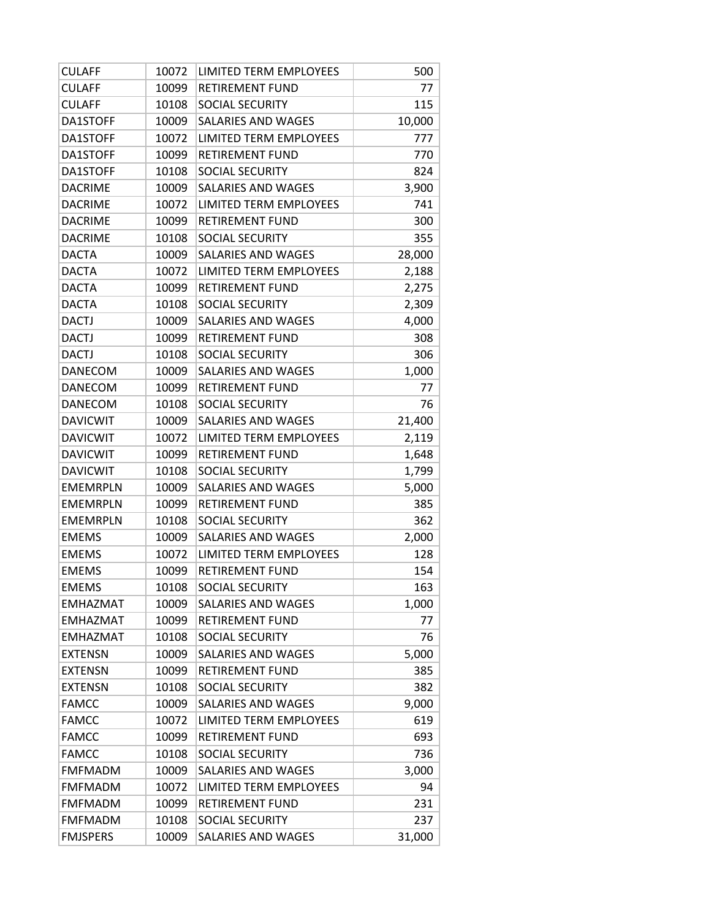| <b>CULAFF</b>   | 10072 | LIMITED TERM EMPLOYEES    | 500    |
|-----------------|-------|---------------------------|--------|
| <b>CULAFF</b>   | 10099 | <b>RETIREMENT FUND</b>    | 77     |
| <b>CULAFF</b>   | 10108 | SOCIAL SECURITY           | 115    |
| DA1STOFF        | 10009 | <b>SALARIES AND WAGES</b> | 10,000 |
| DA1STOFF        | 10072 | LIMITED TERM EMPLOYEES    | 777    |
| DA1STOFF        | 10099 | <b>RETIREMENT FUND</b>    | 770    |
| DA1STOFF        | 10108 | SOCIAL SECURITY           | 824    |
| <b>DACRIME</b>  | 10009 | SALARIES AND WAGES        | 3,900  |
| <b>DACRIME</b>  | 10072 | LIMITED TERM EMPLOYEES    | 741    |
| <b>DACRIME</b>  | 10099 | RETIREMENT FUND           | 300    |
| <b>DACRIME</b>  | 10108 | SOCIAL SECURITY           | 355    |
| <b>DACTA</b>    | 10009 | <b>SALARIES AND WAGES</b> | 28,000 |
| <b>DACTA</b>    | 10072 | LIMITED TERM EMPLOYEES    | 2,188  |
| <b>DACTA</b>    | 10099 | <b>RETIREMENT FUND</b>    | 2,275  |
| <b>DACTA</b>    | 10108 | SOCIAL SECURITY           | 2,309  |
| <b>DACTJ</b>    | 10009 | <b>SALARIES AND WAGES</b> | 4,000  |
| <b>DACTJ</b>    | 10099 | <b>RETIREMENT FUND</b>    | 308    |
| <b>DACTJ</b>    | 10108 | SOCIAL SECURITY           | 306    |
| <b>DANECOM</b>  | 10009 | SALARIES AND WAGES        | 1,000  |
| <b>DANECOM</b>  | 10099 | <b>RETIREMENT FUND</b>    | 77     |
| <b>DANECOM</b>  | 10108 | <b>SOCIAL SECURITY</b>    | 76     |
| <b>DAVICWIT</b> | 10009 | SALARIES AND WAGES        | 21,400 |
| <b>DAVICWIT</b> | 10072 | LIMITED TERM EMPLOYEES    | 2,119  |
| <b>DAVICWIT</b> | 10099 | <b>RETIREMENT FUND</b>    | 1,648  |
| <b>DAVICWIT</b> | 10108 | SOCIAL SECURITY           | 1,799  |
| <b>EMEMRPLN</b> | 10009 | <b>SALARIES AND WAGES</b> | 5,000  |
| <b>EMEMRPLN</b> | 10099 | <b>RETIREMENT FUND</b>    | 385    |
| <b>EMEMRPLN</b> | 10108 | SOCIAL SECURITY           | 362    |
| <b>EMEMS</b>    | 10009 | SALARIES AND WAGES        | 2,000  |
| <b>EMEMS</b>    | 10072 | LIMITED TERM EMPLOYEES    | 128    |
| <b>EMEMS</b>    | 10099 | <b>RETIREMENT FUND</b>    | 154    |
| EMEMS           | 10108 | SOCIAL SECURITY           | 163    |
| <b>EMHAZMAT</b> | 10009 | SALARIES AND WAGES        | 1,000  |
| <b>EMHAZMAT</b> | 10099 | <b>RETIREMENT FUND</b>    | 77     |
| <b>EMHAZMAT</b> | 10108 | <b>SOCIAL SECURITY</b>    | 76     |
| <b>EXTENSN</b>  | 10009 | <b>SALARIES AND WAGES</b> | 5,000  |
| <b>EXTENSN</b>  | 10099 | <b>RETIREMENT FUND</b>    | 385    |
| <b>EXTENSN</b>  | 10108 | SOCIAL SECURITY           | 382    |
| <b>FAMCC</b>    | 10009 | SALARIES AND WAGES        | 9,000  |
| <b>FAMCC</b>    | 10072 | LIMITED TERM EMPLOYEES    | 619    |
| <b>FAMCC</b>    | 10099 | <b>RETIREMENT FUND</b>    | 693    |
| <b>FAMCC</b>    | 10108 | <b>SOCIAL SECURITY</b>    | 736    |
| <b>FMFMADM</b>  | 10009 | SALARIES AND WAGES        | 3,000  |
| <b>FMFMADM</b>  | 10072 | LIMITED TERM EMPLOYEES    | 94     |
| <b>FMFMADM</b>  | 10099 | <b>RETIREMENT FUND</b>    | 231    |
| <b>FMFMADM</b>  | 10108 | <b>SOCIAL SECURITY</b>    | 237    |
| <b>FMJSPERS</b> | 10009 | SALARIES AND WAGES        | 31,000 |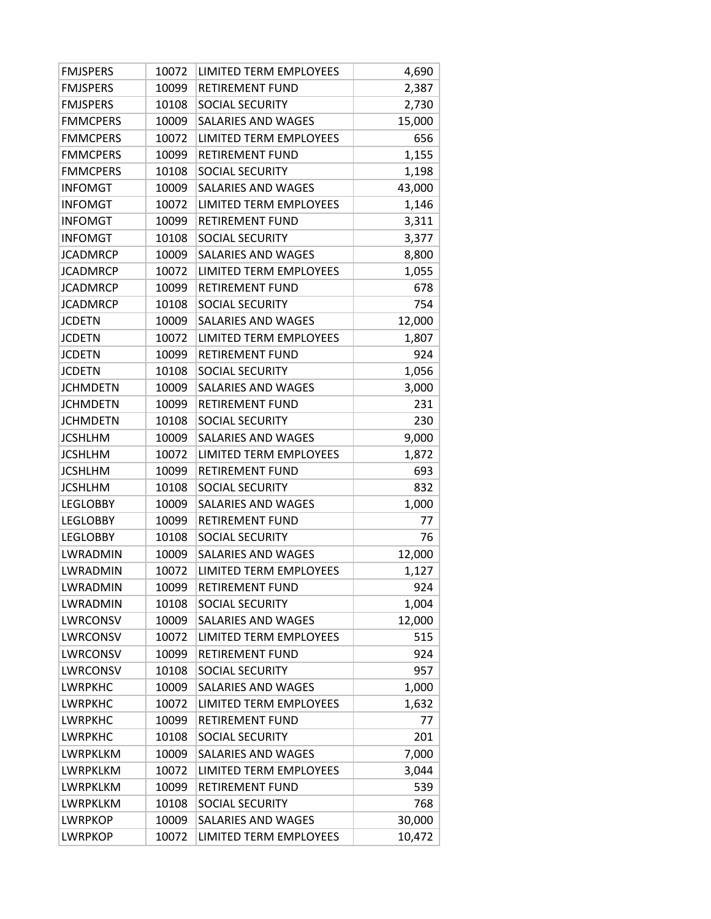| <b>FMJSPERS</b> | 10072 | LIMITED TERM EMPLOYEES        | 4,690  |
|-----------------|-------|-------------------------------|--------|
| <b>FMJSPERS</b> | 10099 | <b>RETIREMENT FUND</b>        | 2,387  |
| <b>FMJSPERS</b> | 10108 | <b>SOCIAL SECURITY</b>        | 2,730  |
| <b>FMMCPERS</b> | 10009 | SALARIES AND WAGES            | 15,000 |
| <b>FMMCPERS</b> | 10072 | LIMITED TERM EMPLOYEES        | 656    |
| <b>FMMCPERS</b> | 10099 | <b>RETIREMENT FUND</b>        | 1,155  |
| <b>FMMCPERS</b> | 10108 | SOCIAL SECURITY               | 1,198  |
| <b>INFOMGT</b>  | 10009 | SALARIES AND WAGES            | 43,000 |
| <b>INFOMGT</b>  | 10072 | LIMITED TERM EMPLOYEES        | 1,146  |
| <b>INFOMGT</b>  | 10099 | <b>RETIREMENT FUND</b>        | 3,311  |
| <b>INFOMGT</b>  | 10108 | SOCIAL SECURITY               | 3,377  |
| <b>JCADMRCP</b> | 10009 | SALARIES AND WAGES            | 8,800  |
| <b>JCADMRCP</b> | 10072 | LIMITED TERM EMPLOYEES        | 1,055  |
| <b>JCADMRCP</b> | 10099 | <b>RETIREMENT FUND</b>        | 678    |
| <b>JCADMRCP</b> | 10108 | SOCIAL SECURITY               | 754    |
| <b>JCDETN</b>   | 10009 | SALARIES AND WAGES            | 12,000 |
| <b>JCDETN</b>   | 10072 | <b>LIMITED TERM EMPLOYEES</b> | 1,807  |
| <b>JCDETN</b>   | 10099 | <b>RETIREMENT FUND</b>        | 924    |
| <b>JCDETN</b>   | 10108 | SOCIAL SECURITY               | 1,056  |
| <b>JCHMDETN</b> | 10009 | <b>SALARIES AND WAGES</b>     | 3,000  |
| <b>JCHMDETN</b> | 10099 | <b>RETIREMENT FUND</b>        | 231    |
| <b>JCHMDETN</b> | 10108 | SOCIAL SECURITY               | 230    |
| <b>JCSHLHM</b>  | 10009 | SALARIES AND WAGES            | 9,000  |
| <b>JCSHLHM</b>  | 10072 | LIMITED TERM EMPLOYEES        | 1,872  |
| <b>JCSHLHM</b>  | 10099 | <b>RETIREMENT FUND</b>        | 693    |
| <b>JCSHLHM</b>  | 10108 | <b>SOCIAL SECURITY</b>        | 832    |
| <b>LEGLOBBY</b> | 10009 | SALARIES AND WAGES            | 1,000  |
| <b>LEGLOBBY</b> | 10099 | <b>RETIREMENT FUND</b>        | 77     |
| <b>LEGLOBBY</b> | 10108 | SOCIAL SECURITY               | 76     |
| LWRADMIN        | 10009 | <b>SALARIES AND WAGES</b>     | 12,000 |
| <b>LWRADMIN</b> | 10072 | <b>LIMITED TERM EMPLOYEES</b> | 1,127  |
| LWRADMIN        | 10099 | RETIREMENT FUND               | 924    |
| <b>LWRADMIN</b> | 10108 | SOCIAL SECURITY               | 1,004  |
| LWRCONSV        | 10009 | SALARIES AND WAGES            | 12,000 |
| LWRCONSV        | 10072 | LIMITED TERM EMPLOYEES        | 515    |
| <b>LWRCONSV</b> | 10099 | <b>RETIREMENT FUND</b>        | 924    |
| LWRCONSV        | 10108 | <b>SOCIAL SECURITY</b>        | 957    |
| <b>LWRPKHC</b>  | 10009 | <b>SALARIES AND WAGES</b>     | 1,000  |
| LWRPKHC         | 10072 | LIMITED TERM EMPLOYEES        | 1,632  |
| <b>LWRPKHC</b>  | 10099 | <b>RETIREMENT FUND</b>        | 77     |
| <b>LWRPKHC</b>  | 10108 | <b>SOCIAL SECURITY</b>        | 201    |
| LWRPKLKM        | 10009 | SALARIES AND WAGES            | 7,000  |
| LWRPKLKM        | 10072 | <b>LIMITED TERM EMPLOYEES</b> | 3,044  |
| LWRPKLKM        | 10099 | RETIREMENT FUND               | 539    |
| LWRPKLKM        | 10108 | SOCIAL SECURITY               | 768    |
| <b>LWRPKOP</b>  | 10009 | SALARIES AND WAGES            | 30,000 |
| <b>LWRPKOP</b>  | 10072 | LIMITED TERM EMPLOYEES        | 10,472 |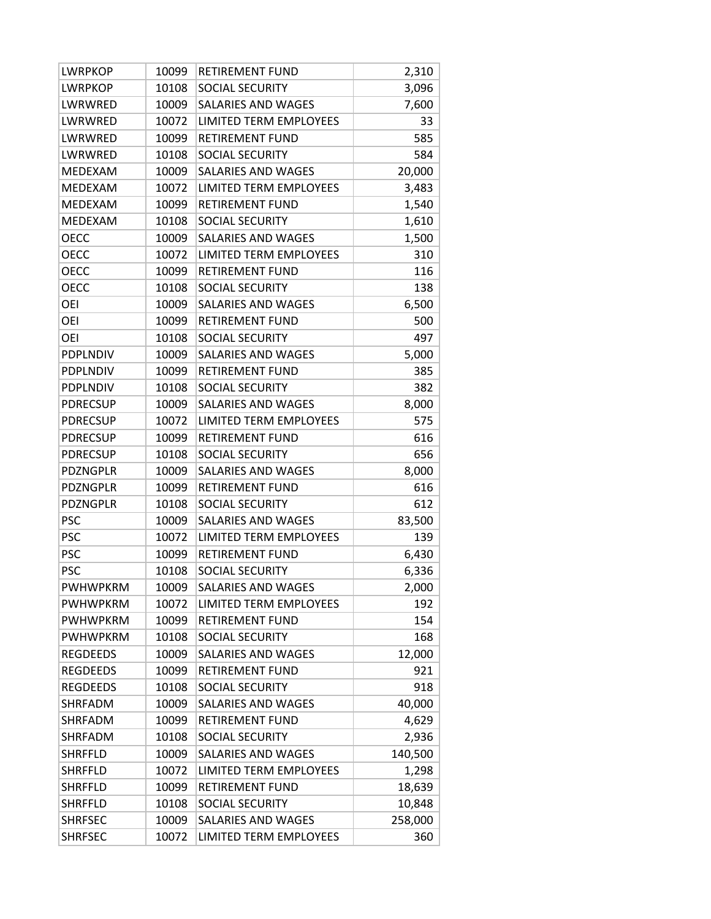| <b>LWRPKOP</b>  | 10099 | <b>RETIREMENT FUND</b>    | 2,310   |
|-----------------|-------|---------------------------|---------|
| <b>LWRPKOP</b>  | 10108 | <b>SOCIAL SECURITY</b>    | 3,096   |
| LWRWRED         | 10009 | <b>SALARIES AND WAGES</b> | 7,600   |
| LWRWRED         | 10072 | LIMITED TERM EMPLOYEES    | 33      |
| LWRWRED         | 10099 | <b>RETIREMENT FUND</b>    | 585     |
| LWRWRED         | 10108 | SOCIAL SECURITY           | 584     |
| MEDEXAM         | 10009 | SALARIES AND WAGES        | 20,000  |
| MEDEXAM         | 10072 | LIMITED TERM EMPLOYEES    | 3,483   |
| MEDEXAM         | 10099 | <b>RETIREMENT FUND</b>    | 1,540   |
| MEDEXAM         | 10108 | SOCIAL SECURITY           | 1,610   |
| <b>OECC</b>     | 10009 | SALARIES AND WAGES        | 1,500   |
| <b>OECC</b>     | 10072 | LIMITED TERM EMPLOYEES    | 310     |
| <b>OECC</b>     | 10099 | <b>RETIREMENT FUND</b>    | 116     |
| <b>OECC</b>     | 10108 | SOCIAL SECURITY           | 138     |
| OEI             | 10009 | SALARIES AND WAGES        | 6,500   |
| OEI             | 10099 | <b>RETIREMENT FUND</b>    | 500     |
| OEI             | 10108 | SOCIAL SECURITY           | 497     |
| <b>PDPLNDIV</b> | 10009 | SALARIES AND WAGES        | 5,000   |
| PDPLNDIV        | 10099 | <b>RETIREMENT FUND</b>    | 385     |
| <b>PDPLNDIV</b> | 10108 | <b>SOCIAL SECURITY</b>    | 382     |
| <b>PDRECSUP</b> | 10009 | SALARIES AND WAGES        | 8,000   |
| <b>PDRECSUP</b> | 10072 | LIMITED TERM EMPLOYEES    | 575     |
| <b>PDRECSUP</b> | 10099 | <b>RETIREMENT FUND</b>    | 616     |
| <b>PDRECSUP</b> | 10108 | SOCIAL SECURITY           | 656     |
| PDZNGPLR        | 10009 | <b>SALARIES AND WAGES</b> | 8,000   |
| PDZNGPLR        | 10099 | <b>RETIREMENT FUND</b>    | 616     |
| PDZNGPLR        | 10108 | SOCIAL SECURITY           | 612     |
| <b>PSC</b>      | 10009 | SALARIES AND WAGES        | 83,500  |
| <b>PSC</b>      | 10072 | LIMITED TERM EMPLOYEES    | 139     |
| <b>PSC</b>      | 10099 | <b>RETIREMENT FUND</b>    | 6,430   |
| <b>PSC</b>      | 10108 | SOCIAL SECURITY           | 6,336   |
| PWHWPKRM        | 10009 | SALARIES AND WAGES        | 2,000   |
| <b>PWHWPKRM</b> | 10072 | LIMITED TERM EMPLOYEES    | 192     |
| <b>PWHWPKRM</b> | 10099 | <b>RETIREMENT FUND</b>    | 154     |
| <b>PWHWPKRM</b> | 10108 | <b>SOCIAL SECURITY</b>    | 168     |
| REGDEEDS        | 10009 | SALARIES AND WAGES        | 12,000  |
| <b>REGDEEDS</b> | 10099 | <b>RETIREMENT FUND</b>    | 921     |
| <b>REGDEEDS</b> | 10108 | <b>SOCIAL SECURITY</b>    | 918     |
| SHRFADM         | 10009 | SALARIES AND WAGES        | 40,000  |
| SHRFADM         | 10099 | <b>RETIREMENT FUND</b>    | 4,629   |
| SHRFADM         | 10108 | SOCIAL SECURITY           | 2,936   |
| <b>SHRFFLD</b>  | 10009 | SALARIES AND WAGES        | 140,500 |
| <b>SHRFFLD</b>  | 10072 | LIMITED TERM EMPLOYEES    | 1,298   |
| <b>SHRFFLD</b>  | 10099 | RETIREMENT FUND           | 18,639  |
| SHRFFLD         | 10108 | SOCIAL SECURITY           | 10,848  |
| <b>SHRFSEC</b>  | 10009 | SALARIES AND WAGES        | 258,000 |
| <b>SHRFSEC</b>  | 10072 | LIMITED TERM EMPLOYEES    | 360     |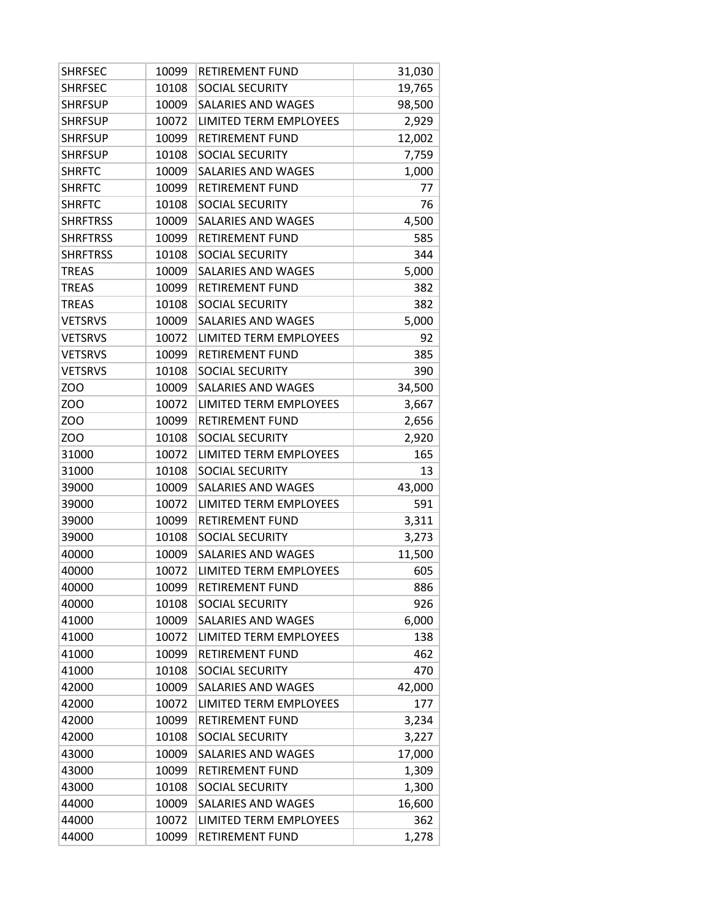| <b>SHRFSEC</b>  | 10099 | <b>RETIREMENT FUND</b>    | 31,030 |
|-----------------|-------|---------------------------|--------|
| <b>SHRFSEC</b>  | 10108 | <b>SOCIAL SECURITY</b>    | 19,765 |
| <b>SHRFSUP</b>  | 10009 | <b>SALARIES AND WAGES</b> | 98,500 |
| <b>SHRFSUP</b>  | 10072 | LIMITED TERM EMPLOYEES    | 2,929  |
| <b>SHRFSUP</b>  | 10099 | <b>RETIREMENT FUND</b>    | 12,002 |
| <b>SHRFSUP</b>  | 10108 | SOCIAL SECURITY           | 7,759  |
| <b>SHRFTC</b>   | 10009 | SALARIES AND WAGES        | 1,000  |
| <b>SHRFTC</b>   | 10099 | <b>RETIREMENT FUND</b>    | 77     |
| <b>SHRFTC</b>   | 10108 | SOCIAL SECURITY           | 76     |
| <b>SHRFTRSS</b> | 10009 | <b>SALARIES AND WAGES</b> | 4,500  |
| <b>SHRFTRSS</b> | 10099 | <b>RETIREMENT FUND</b>    | 585    |
| <b>SHRFTRSS</b> | 10108 | SOCIAL SECURITY           | 344    |
| <b>TREAS</b>    | 10009 | <b>SALARIES AND WAGES</b> | 5,000  |
| <b>TREAS</b>    | 10099 | <b>RETIREMENT FUND</b>    | 382    |
| <b>TREAS</b>    | 10108 | SOCIAL SECURITY           | 382    |
| <b>VETSRVS</b>  | 10009 | <b>SALARIES AND WAGES</b> | 5,000  |
| <b>VETSRVS</b>  | 10072 | LIMITED TERM EMPLOYEES    | 92     |
| <b>VETSRVS</b>  | 10099 | <b>RETIREMENT FUND</b>    | 385    |
| <b>VETSRVS</b>  | 10108 | SOCIAL SECURITY           | 390    |
| <b>ZOO</b>      | 10009 | <b>SALARIES AND WAGES</b> | 34,500 |
| ZOO             | 10072 | LIMITED TERM EMPLOYEES    | 3,667  |
| <b>ZOO</b>      | 10099 | <b>RETIREMENT FUND</b>    | 2,656  |
| <b>ZOO</b>      | 10108 | SOCIAL SECURITY           | 2,920  |
| 31000           | 10072 | LIMITED TERM EMPLOYEES    | 165    |
| 31000           | 10108 | SOCIAL SECURITY           | 13     |
| 39000           | 10009 | SALARIES AND WAGES        | 43,000 |
| 39000           | 10072 | LIMITED TERM EMPLOYEES    | 591    |
| 39000           | 10099 | <b>RETIREMENT FUND</b>    | 3,311  |
| 39000           | 10108 | SOCIAL SECURITY           | 3,273  |
| 40000           | 10009 | SALARIES AND WAGES        | 11,500 |
| 40000           | 10072 | LIMITED TERM EMPLOYEES    | 605    |
| 40000           | 10099 | RETIREMENT FUND           | 886    |
| 40000           | 10108 | SOCIAL SECURITY           | 926    |
| 41000           | 10009 | SALARIES AND WAGES        | 6,000  |
| 41000           | 10072 | LIMITED TERM EMPLOYEES    | 138    |
| 41000           | 10099 | RETIREMENT FUND           | 462    |
| 41000           | 10108 | <b>SOCIAL SECURITY</b>    | 470    |
| 42000           | 10009 | SALARIES AND WAGES        | 42,000 |
| 42000           | 10072 | LIMITED TERM EMPLOYEES    | 177    |
| 42000           | 10099 | <b>RETIREMENT FUND</b>    | 3,234  |
| 42000           | 10108 | SOCIAL SECURITY           | 3,227  |
| 43000           | 10009 | SALARIES AND WAGES        | 17,000 |
| 43000           | 10099 | RETIREMENT FUND           | 1,309  |
| 43000           | 10108 | SOCIAL SECURITY           | 1,300  |
| 44000           | 10009 | SALARIES AND WAGES        | 16,600 |
| 44000           | 10072 | LIMITED TERM EMPLOYEES    | 362    |
| 44000           | 10099 | RETIREMENT FUND           | 1,278  |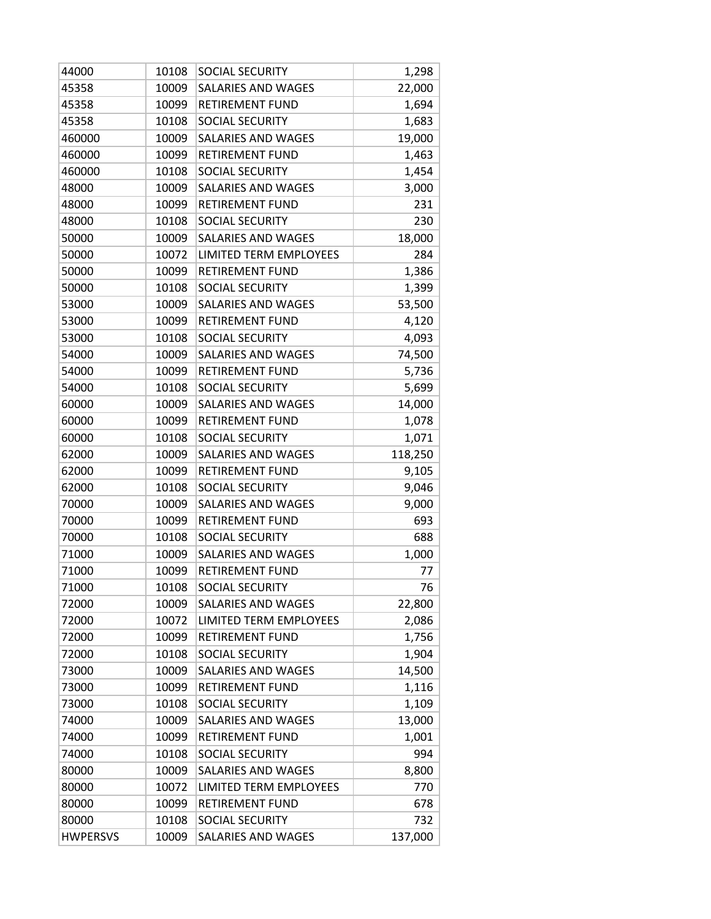| 44000           | 10108 | SOCIAL SECURITY           | 1,298   |
|-----------------|-------|---------------------------|---------|
| 45358           | 10009 | SALARIES AND WAGES        | 22,000  |
| 45358           | 10099 | <b>RETIREMENT FUND</b>    | 1,694   |
| 45358           | 10108 | SOCIAL SECURITY           | 1,683   |
| 460000          | 10009 | SALARIES AND WAGES        | 19,000  |
| 460000          | 10099 | <b>RETIREMENT FUND</b>    | 1,463   |
| 460000          | 10108 | SOCIAL SECURITY           | 1,454   |
| 48000           | 10009 | <b>SALARIES AND WAGES</b> | 3,000   |
| 48000           | 10099 | <b>RETIREMENT FUND</b>    | 231     |
| 48000           | 10108 | SOCIAL SECURITY           | 230     |
| 50000           | 10009 | SALARIES AND WAGES        | 18,000  |
| 50000           | 10072 | LIMITED TERM EMPLOYEES    | 284     |
| 50000           | 10099 | <b>RETIREMENT FUND</b>    | 1,386   |
| 50000           | 10108 | SOCIAL SECURITY           | 1,399   |
| 53000           | 10009 | SALARIES AND WAGES        | 53,500  |
| 53000           | 10099 | <b>RETIREMENT FUND</b>    | 4,120   |
| 53000           | 10108 | <b>SOCIAL SECURITY</b>    | 4,093   |
| 54000           | 10009 | SALARIES AND WAGES        | 74,500  |
| 54000           | 10099 | <b>RETIREMENT FUND</b>    | 5,736   |
| 54000           | 10108 | <b>SOCIAL SECURITY</b>    | 5,699   |
| 60000           | 10009 | SALARIES AND WAGES        | 14,000  |
| 60000           | 10099 | <b>RETIREMENT FUND</b>    | 1,078   |
| 60000           | 10108 | SOCIAL SECURITY           | 1,071   |
| 62000           | 10009 | SALARIES AND WAGES        | 118,250 |
| 62000           | 10099 | <b>RETIREMENT FUND</b>    | 9,105   |
| 62000           | 10108 | SOCIAL SECURITY           | 9,046   |
| 70000           | 10009 | SALARIES AND WAGES        | 9,000   |
| 70000           | 10099 | <b>RETIREMENT FUND</b>    | 693     |
| 70000           | 10108 | SOCIAL SECURITY           | 688     |
| 71000           | 10009 | SALARIES AND WAGES        | 1,000   |
| 71000           | 10099 | <b>RETIREMENT FUND</b>    | 77      |
| 71000           | 10108 | SOCIAL SECURITY           | 76      |
| 72000           | 10009 | <b>SALARIES AND WAGES</b> | 22,800  |
| 72000           | 10072 | LIMITED TERM EMPLOYEES    | 2,086   |
| 72000           | 10099 | <b>RETIREMENT FUND</b>    | 1,756   |
| 72000           | 10108 | <b>SOCIAL SECURITY</b>    | 1,904   |
| 73000           | 10009 | <b>SALARIES AND WAGES</b> | 14,500  |
| 73000           | 10099 | <b>RETIREMENT FUND</b>    | 1,116   |
| 73000           | 10108 | <b>SOCIAL SECURITY</b>    | 1,109   |
| 74000           | 10009 | <b>SALARIES AND WAGES</b> | 13,000  |
| 74000           | 10099 | <b>RETIREMENT FUND</b>    | 1,001   |
| 74000           | 10108 | SOCIAL SECURITY           | 994     |
| 80000           | 10009 | SALARIES AND WAGES        | 8,800   |
| 80000           | 10072 | LIMITED TERM EMPLOYEES    | 770     |
| 80000           | 10099 | <b>RETIREMENT FUND</b>    | 678     |
| 80000           | 10108 | SOCIAL SECURITY           | 732     |
| <b>HWPERSVS</b> | 10009 | SALARIES AND WAGES        | 137,000 |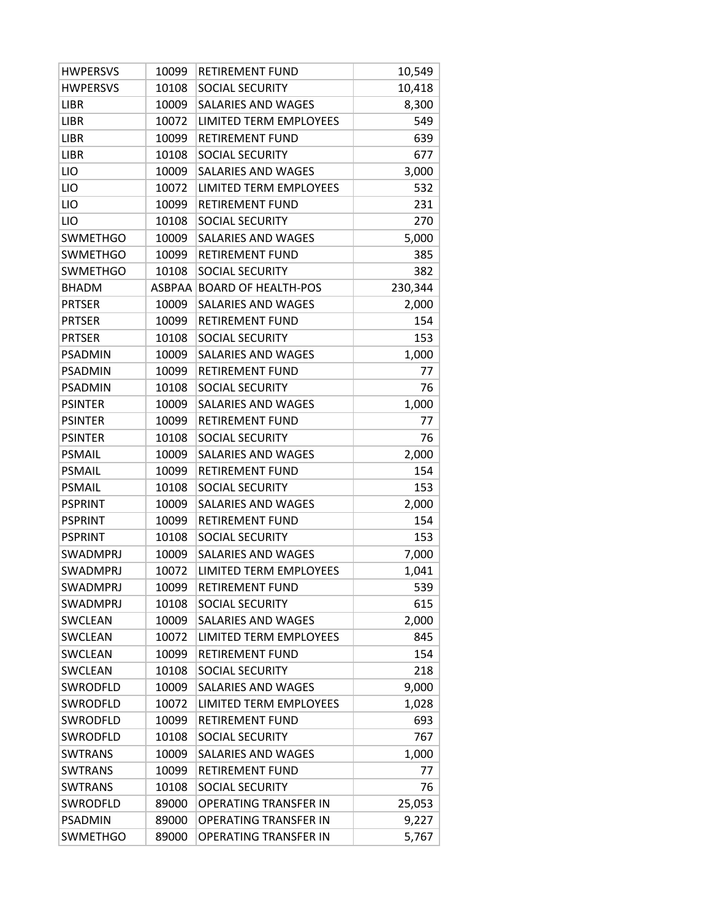| <b>HWPERSVS</b> | 10099         | <b>RETIREMENT FUND</b>       | 10,549  |
|-----------------|---------------|------------------------------|---------|
| <b>HWPERSVS</b> | 10108         | SOCIAL SECURITY              | 10,418  |
| LIBR            | 10009         | SALARIES AND WAGES           | 8,300   |
| <b>LIBR</b>     | 10072         | LIMITED TERM EMPLOYEES       | 549     |
| <b>LIBR</b>     | 10099         | <b>RETIREMENT FUND</b>       | 639     |
| <b>LIBR</b>     | 10108         | SOCIAL SECURITY              | 677     |
| LIO             | 10009         | SALARIES AND WAGES           | 3,000   |
| LIO             | 10072         | LIMITED TERM EMPLOYEES       | 532     |
| LIO             | 10099         | <b>RETIREMENT FUND</b>       | 231     |
| LIO             | 10108         | SOCIAL SECURITY              | 270     |
| <b>SWMETHGO</b> | 10009         | SALARIES AND WAGES           | 5,000   |
| <b>SWMETHGO</b> | 10099         | <b>RETIREMENT FUND</b>       | 385     |
| <b>SWMETHGO</b> | 10108         | SOCIAL SECURITY              | 382     |
| <b>BHADM</b>    | <b>ASBPAA</b> | <b>BOARD OF HEALTH-POS</b>   | 230,344 |
| <b>PRTSER</b>   | 10009         | <b>SALARIES AND WAGES</b>    | 2,000   |
| <b>PRTSER</b>   | 10099         | <b>RETIREMENT FUND</b>       | 154     |
| <b>PRTSER</b>   | 10108         | SOCIAL SECURITY              | 153     |
| <b>PSADMIN</b>  | 10009         | SALARIES AND WAGES           | 1,000   |
| <b>PSADMIN</b>  | 10099         | RETIREMENT FUND              | 77      |
| <b>PSADMIN</b>  | 10108         | SOCIAL SECURITY              | 76      |
| <b>PSINTER</b>  | 10009         | <b>SALARIES AND WAGES</b>    | 1,000   |
| <b>PSINTER</b>  | 10099         | <b>RETIREMENT FUND</b>       | 77      |
| <b>PSINTER</b>  | 10108         | SOCIAL SECURITY              | 76      |
| PSMAIL          | 10009         | SALARIES AND WAGES           | 2,000   |
| PSMAIL          | 10099         | <b>RETIREMENT FUND</b>       | 154     |
| <b>PSMAIL</b>   | 10108         | <b>SOCIAL SECURITY</b>       | 153     |
| <b>PSPRINT</b>  | 10009         | SALARIES AND WAGES           | 2,000   |
| <b>PSPRINT</b>  | 10099         | <b>RETIREMENT FUND</b>       | 154     |
| <b>PSPRINT</b>  | 10108         | SOCIAL SECURITY              | 153     |
| SWADMPRJ        | 10009         | SALARIES AND WAGES           | 7,000   |
| <b>SWADMPRJ</b> | 10072         | LIMITED TERM EMPLOYEES       | 1,041   |
| SWADMPRJ        | 10099         | RETIREMENT FUND              | 539     |
| <b>SWADMPRJ</b> | 10108         | <b>SOCIAL SECURITY</b>       | 615     |
| SWCLEAN         | 10009         | <b>SALARIES AND WAGES</b>    | 2,000   |
| SWCLEAN         | 10072         | LIMITED TERM EMPLOYEES       | 845     |
| SWCLEAN         | 10099         | RETIREMENT FUND              | 154     |
| SWCLEAN         | 10108         | <b>SOCIAL SECURITY</b>       | 218     |
| SWRODFLD        | 10009         | SALARIES AND WAGES           | 9,000   |
| SWRODFLD        | 10072         | LIMITED TERM EMPLOYEES       | 1,028   |
| SWRODFLD        | 10099         | RETIREMENT FUND              | 693     |
| SWRODFLD        | 10108         | SOCIAL SECURITY              | 767     |
| SWTRANS         | 10009         | SALARIES AND WAGES           | 1,000   |
| <b>SWTRANS</b>  | 10099         | RETIREMENT FUND              | 77      |
| SWTRANS         | 10108         | <b>SOCIAL SECURITY</b>       | 76      |
| SWRODFLD        | 89000         | <b>OPERATING TRANSFER IN</b> | 25,053  |
| <b>PSADMIN</b>  | 89000         | OPERATING TRANSFER IN        | 9,227   |
| <b>SWMETHGO</b> | 89000         | OPERATING TRANSFER IN        | 5,767   |